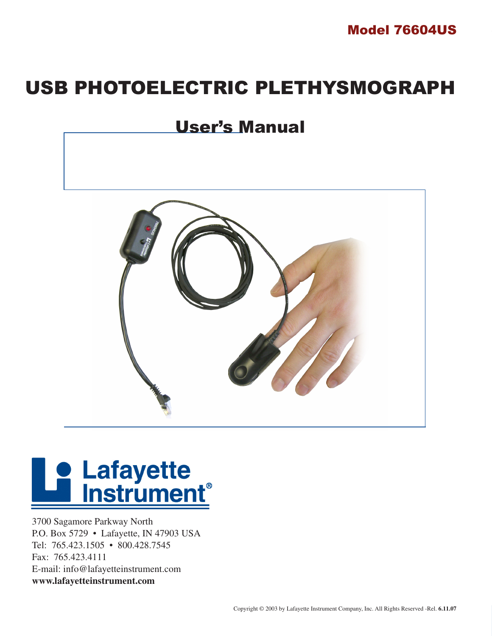

## USB PHOTOELECTRIC PLETHYSMOGRAPH

## User's Manual



## **De Lafayette<br>Explorance Instrument**

3700 Sagamore Parkway North P.O. Box 5729 • Lafayette, IN 47903 USA Tel: 765.423.1505 • 800.428.7545 Fax: 765.423.4111 E-mail: info@lafayetteinstrument.com **www.lafayetteinstrument.com**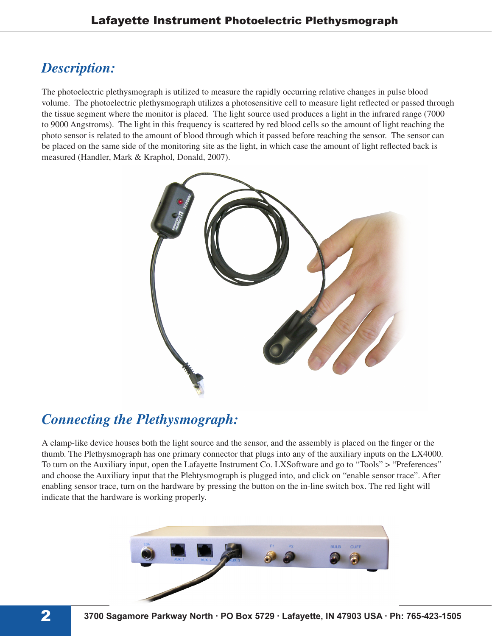## **Description:**

**Description:**<br>The photoelectric plet<br>volume. The photoelectric plet<br>to 9000 Angstroms).<br>photo sensor is related<br>be placed on the same<br>measured (Handler, M<br>A clamp-like device h<br>thumb. The Plethysme<br>To turn on the Auxilia<br> The photoelectric plethysmograph is utilized to measure the rapidly occurring relative changes in pulse blood volume. The photoelectric plethysmograph utilizes a photosensitive cell to measure light reflected or passed through the tissue segment where the monitor is placed. The light source used produces a light in the infrared range (7000 to 9000 Angstroms). The light in this frequency is scattered by red blood cells so the amount of light reaching the photo sensor is related to the amount of blood through which it passed before reaching the sensor. The sensor can be placed on the same side of the monitoring site as the light, in which case the amount of light reflected back is measured (Handler, Mark & Kraphol, Donald, 2007).



## *Connecting the Plethysmograph:*

A clamp-like device houses both the light source and the sensor, and the assembly is placed on the finger or the thumb. The Plethysmograph has one primary connector that plugs into any of the auxiliary inputs on the LX4000. To turn on the Auxiliary input, open the Lafayette Instrument Co. LXSoftware and go to "Tools" > "Preferences" and choose the Auxiliary input that the Plehtysmograph is plugged into, and click on "enable sensor trace". After enabling sensor trace, turn on the hardware by pressing the button on the in-line switch box. The red light will indicate that the hardware is working properly.

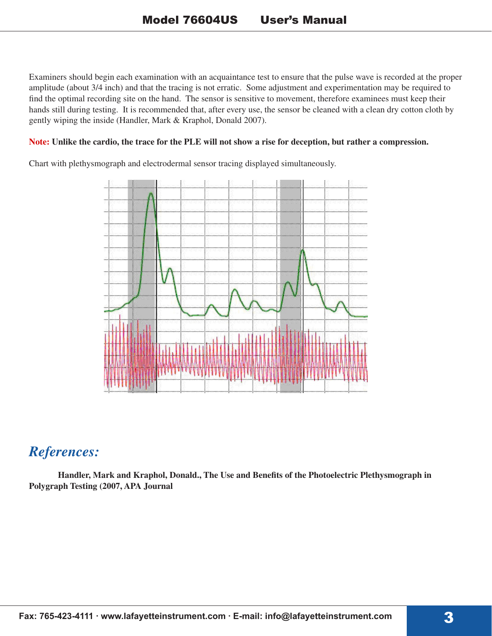Examiners should begin each examination with an acquaintance test to ensure that the pulse wave is recorded at the proper amplitude (about 3/4 inch) and that the tracing is not erratic. Some adjustment and experimentation may be required to find the optimal recording site on the hand. The sensor is sensitive to movement, therefore examinees must keep their hands still during testing. It is recommended that, after every use, the sensor be cleaned with a clean dry cotton cloth by gently wiping the inside (Handler, Mark & Kraphol, Donald 2007).

#### **Note: Unlike the cardio, the trace for the PLE will not show a rise for deception, but rather a compression.**

Chart with plethysmograph and electrodermal sensor tracing displayed simultaneously.



### *References:*

 **Handler, Mark and Kraphol, Donald., The Use and Benefits of the Photoelectric Plethysmograph in Polygraph Testing (2007, APA Journal**